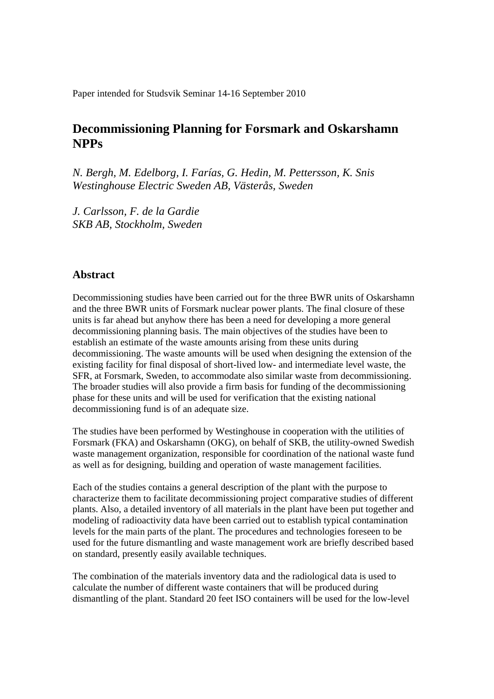Paper intended for Studsvik Seminar 14-16 September 2010

## **Decommissioning Planning for Forsmark and Oskarshamn NPPs**

*N. Bergh, M. Edelborg, I. Farías, G. Hedin, M. Pettersson, K. Snis Westinghouse Electric Sweden AB, Västerås, Sweden* 

*J. Carlsson, F. de la Gardie SKB AB, Stockholm, Sweden* 

## **Abstract**

Decommissioning studies have been carried out for the three BWR units of Oskarshamn and the three BWR units of Forsmark nuclear power plants. The final closure of these units is far ahead but anyhow there has been a need for developing a more general decommissioning planning basis. The main objectives of the studies have been to establish an estimate of the waste amounts arising from these units during decommissioning. The waste amounts will be used when designing the extension of the existing facility for final disposal of short-lived low- and intermediate level waste, the SFR, at Forsmark, Sweden, to accommodate also similar waste from decommissioning. The broader studies will also provide a firm basis for funding of the decommissioning phase for these units and will be used for verification that the existing national decommissioning fund is of an adequate size.

The studies have been performed by Westinghouse in cooperation with the utilities of Forsmark (FKA) and Oskarshamn (OKG), on behalf of SKB, the utility-owned Swedish waste management organization, responsible for coordination of the national waste fund as well as for designing, building and operation of waste management facilities.

Each of the studies contains a general description of the plant with the purpose to characterize them to facilitate decommissioning project comparative studies of different plants. Also, a detailed inventory of all materials in the plant have been put together and modeling of radioactivity data have been carried out to establish typical contamination levels for the main parts of the plant. The procedures and technologies foreseen to be used for the future dismantling and waste management work are briefly described based on standard, presently easily available techniques.

The combination of the materials inventory data and the radiological data is used to calculate the number of different waste containers that will be produced during dismantling of the plant. Standard 20 feet ISO containers will be used for the low-level